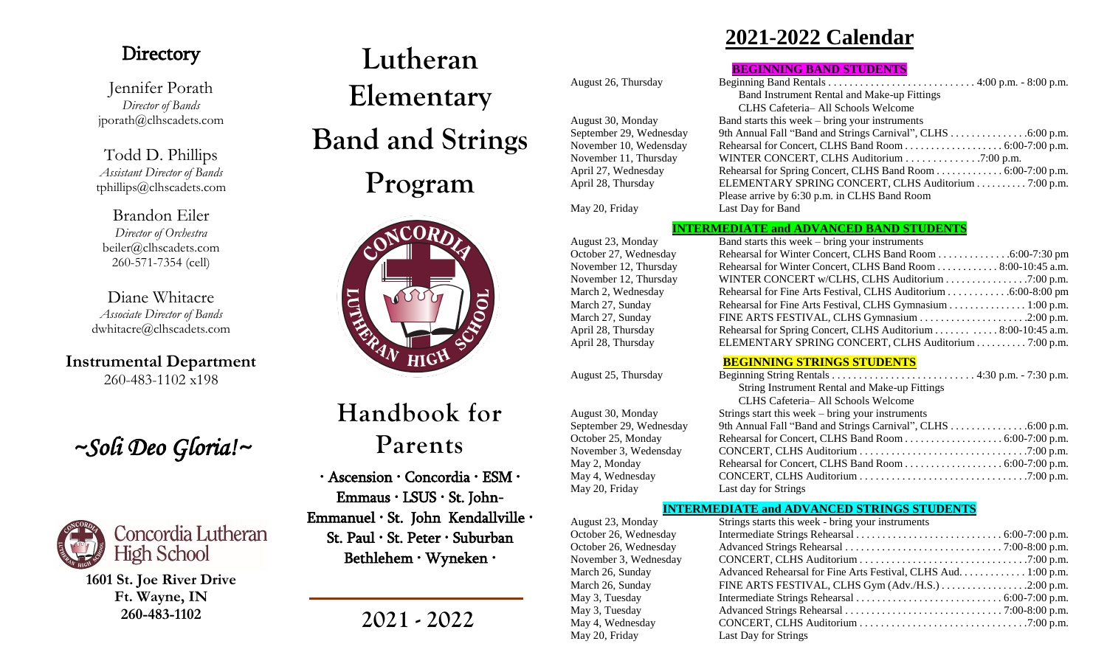### **Directory**

Jennifer Porath *Director of Bands* jporath@clhscadets.com

Todd D. Phillips *Assistant Director of Bands* tphillips@clhscadets.com

Brandon Eiler *Director of Orchestra* beiler@clhscadets.com 260-571-7354 (cell)

Diane Whitacre *Associate Director of Bands* dwhitacre@clhscadets.com

**Instrumental Department** 260-483-1102 x198

## *~Soli Deo Gloria!~*



**1601 St. Joe River Drive Ft. Wayne, IN 260-483-1102**

# **Lutheran Elementary Band and Strings Program**



## **Handbook for Parents**

 $\cdot$  Ascension  $\cdot$  Concordia  $\cdot$  ESM  $\cdot$ Emmaus · LSUS · St. John-Emmanuel · St. John Kendallville · St. Paul  $\cdot$  St. Peter  $\cdot$  Suburban Bethlehem · Wyneken ·

## **2021 - 2022**

### **2021-2022 Calendar**

#### **BEGINNING BAND STUDENTS**

| August 26, Thursday     |                                                             |
|-------------------------|-------------------------------------------------------------|
|                         | Band Instrument Rental and Make-up Fittings                 |
|                         | CLHS Cafeteria-All Schools Welcome                          |
| August 30, Monday       | Band starts this week $-$ bring your instruments            |
| September 29, Wednesday | 9th Annual Fall "Band and Strings Carnival", CLHS 6:00 p.m. |
| November 10, Wedensday  |                                                             |
| November 11, Thursday   | WINTER CONCERT, CLHS Auditorium 7:00 p.m.                   |
| April 27, Wednesday     | Rehearsal for Spring Concert, CLHS Band Room 6:00-7:00 p.m. |
| April 28, Thursday      | ELEMENTARY SPRING CONCERT, CLHS Auditorium 7:00 p.m.        |
|                         | Please arrive by 6:30 p.m. in CLHS Band Room                |
| May 20, Friday          | Last Day for Band                                           |

#### **INTERMEDIATE and ADVANCED BAND STUDENTS**

August 23, Monday October 27, Wednesday November 12, Thursday November 12, Thursday March 2, Wednesday March 27, Sunday March 27, Sunday April 28, Thursday April 28, Thursday

August 25, Thursday

August 30, Monday September 29, Wednesday October 25, Monday November 3, Wedensday May 2, Monday May 4, Wednesday May 20, Friday

August 23, Monday

October 26, Wednesday October 26, Wednesday November 3, Wednesday March 26, Sunday March 26, Sunday May 3, Tuesday May 3, Tuesday May 4, Wednesday May 20, Friday

| Band starts this week – bring your instruments                 |
|----------------------------------------------------------------|
|                                                                |
| Rehearsal for Winter Concert, CLHS Band Room 8:00-10:45 a.m.   |
| WINTER CONCERT w/CLHS, CLHS Auditorium 7:00 p.m.               |
| Rehearsal for Fine Arts Festival, CLHS Auditorium 6:00-8:00 pm |
|                                                                |
|                                                                |
|                                                                |
| ELEMENTARY SPRING CONCERT, CLHS Auditorium 7:00 p.m.           |
|                                                                |

#### **BEGINNING STRINGS STUDENTS**

| String Instrument Rental and Make-up Fittings               |  |  |  |  |
|-------------------------------------------------------------|--|--|--|--|
| CLHS Cafeteria- All Schools Welcome                         |  |  |  |  |
| Strings start this week $-$ bring your instruments          |  |  |  |  |
| 9th Annual Fall "Band and Strings Carnival", CLHS 6:00 p.m. |  |  |  |  |
|                                                             |  |  |  |  |
|                                                             |  |  |  |  |
|                                                             |  |  |  |  |
|                                                             |  |  |  |  |
| Last day for Strings                                        |  |  |  |  |

#### **INTERMEDIATE and ADVANCED STRINGS STUDENTS**

| Strings starts this week - bring your instruments              |  |
|----------------------------------------------------------------|--|
|                                                                |  |
|                                                                |  |
|                                                                |  |
| Advanced Rehearsal for Fine Arts Festival, CLHS Aud. 1:00 p.m. |  |
| FINE ARTS FESTIVAL, CLHS Gym (Adv./H.S.) 2:00 p.m.             |  |
|                                                                |  |
|                                                                |  |
|                                                                |  |
| Last Day for Strings                                           |  |